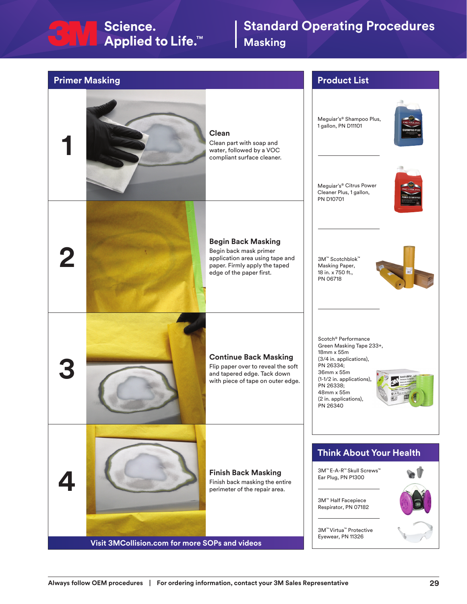## Section Science.<br>
Settlare Applied to Life.™

## **Standard Operating Procedures Masking**